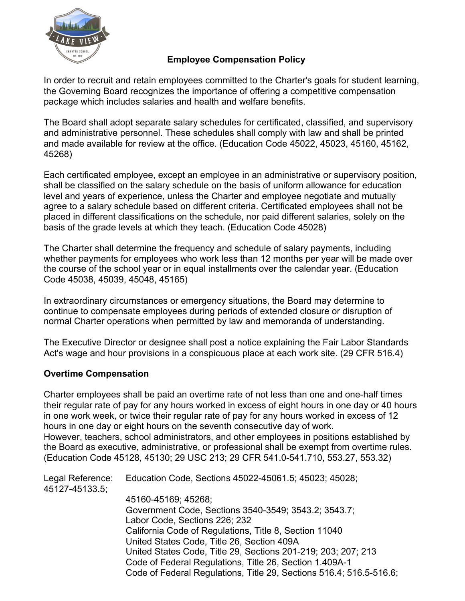

## **Employee Compensation Policy**

In order to recruit and retain employees committed to the Charter's goals for student learning, the Governing Board recognizes the importance of offering a competitive compensation package which includes salaries and health and welfare benefits.

The Board shall adopt separate salary schedules for certificated, classified, and supervisory and administrative personnel. These schedules shall comply with law and shall be printed and made available for review at the office. (Education Code 45022, 45023, 45160, 45162, 45268)

Each certificated employee, except an employee in an administrative or supervisory position, shall be classified on the salary schedule on the basis of uniform allowance for education level and years of experience, unless the Charter and employee negotiate and mutually agree to a salary schedule based on different criteria. Certificated employees shall not be placed in different classifications on the schedule, nor paid different salaries, solely on the basis of the grade levels at which they teach. (Education Code 45028)

The Charter shall determine the frequency and schedule of salary payments, including whether payments for employees who work less than 12 months per year will be made over the course of the school year or in equal installments over the calendar year. (Education Code 45038, 45039, 45048, 45165)

In extraordinary circumstances or emergency situations, the Board may determine to continue to compensate employees during periods of extended closure or disruption of normal Charter operations when permitted by law and memoranda of understanding.

The Executive Director or designee shall post a notice explaining the Fair Labor Standards Act's wage and hour provisions in a conspicuous place at each work site. (29 CFR 516.4)

### **Overtime Compensation**

Charter employees shall be paid an overtime rate of not less than one and one-half times their regular rate of pay for any hours worked in excess of eight hours in one day or 40 hours in one work week, or twice their regular rate of pay for any hours worked in excess of 12 hours in one day or eight hours on the seventh consecutive day of work. However, teachers, school administrators, and other employees in positions established by the Board as executive, administrative, or professional shall be exempt from overtime rules. (Education Code 45128, 45130; 29 USC 213; 29 CFR 541.0-541.710, 553.27, 553.32)

Legal Reference: Education Code, Sections 45022-45061.5; 45023; 45028; 45127-45133.5; 45160-45169; 45268; Government Code, Sections 3540-3549; 3543.2; 3543.7; Labor Code, Sections 226; 232 California Code of Regulations, Title 8, Section 11040 United States Code, Title 26, Section 409A United States Code, Title 29, Sections 201-219; 203; 207; 213 Code of Federal Regulations, Title 26, Section 1.409A-1 Code of Federal Regulations, Title 29, Sections 516.4; 516.5-516.6;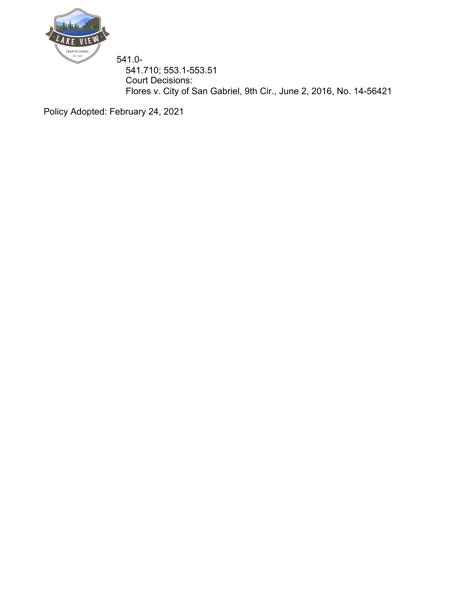

541.0- 541.710; 553.1-553.51 Court Decisions: Flores v. City of San Gabriel, 9th Cir., June 2, 2016, No. 14-56421

Policy Adopted: February 24, 2021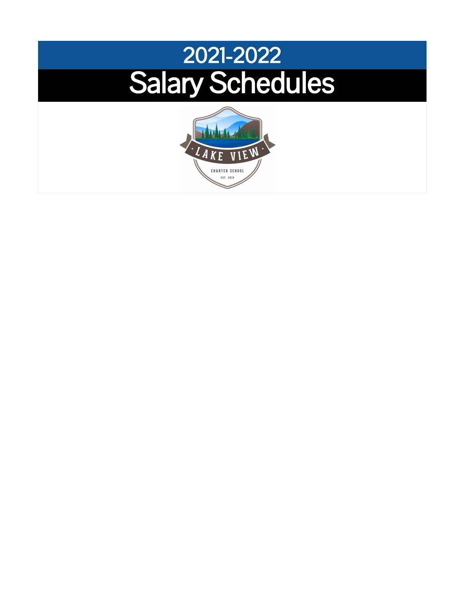# 2021-2022 Salary Schedules

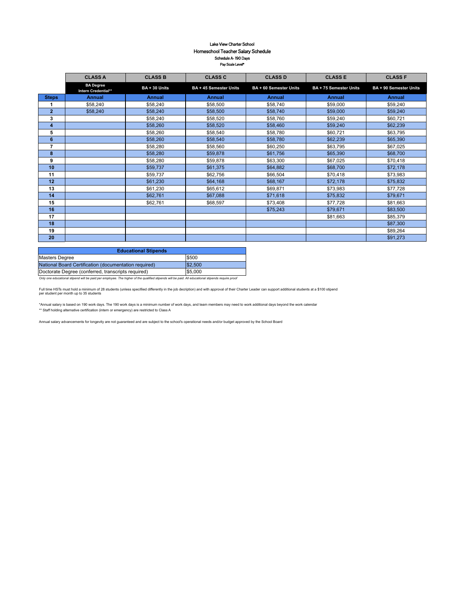#### Lake View Charter School Homeschool Teacher Salary Schedule Schedule A- 190 Days Pay Scale Level\*

|                | <b>CLASS A</b>                          | <b>CLASS B</b> | <b>CLASS C</b>         | <b>CLASS D</b>         | <b>CLASS E</b>         | <b>CLASS F</b>         |
|----------------|-----------------------------------------|----------------|------------------------|------------------------|------------------------|------------------------|
|                | <b>BA</b> Degree<br>Intern Credential** | BA + 30 Units  | BA + 45 Semester Units | BA + 60 Semester Units | BA + 75 Semester Units | BA + 90 Semester Units |
| <b>Steps</b>   | <b>Annual</b>                           | <b>Annual</b>  | <b>Annual</b>          | <b>Annual</b>          | <b>Annual</b>          | <b>Annual</b>          |
|                | \$58,240                                | \$58,240       | \$58,500               | \$58,740               | \$59,000               | \$59,240               |
| $\overline{2}$ | \$58,240                                | \$58,240       | \$58,500               | \$58,740               | \$59,000               | \$59,240               |
| 3              |                                         | \$58,240       | \$58,520               | \$58,760               | \$59,240               | \$60,721               |
| 4              |                                         | \$58,260       | \$58,520               | \$58,460               | \$59,240               | \$62,239               |
| 5              |                                         | \$58,260       | \$58,540               | \$58,780               | \$60,721               | \$63,795               |
| 6              |                                         | \$58,260       | \$58,540               | \$58,780               | \$62,239               | \$65,390               |
| $\overline{7}$ |                                         | \$58,280       | \$58,560               | \$60,250               | \$63,795               | \$67,025               |
| 8              |                                         | \$58,280       | \$59,878               | \$61,756               | \$65,390               | \$68,700               |
| 9              |                                         | \$58,280       | \$59,878               | \$63,300               | \$67,025               | \$70,418               |
| 10             |                                         | \$59,737       | \$61,375               | \$64,882               | \$68,700               | \$72,178               |
| 11             |                                         | \$59,737       | \$62,756               | \$66,504               | \$70,418               | \$73,983               |
| 12             |                                         | \$61,230       | \$64,168               | \$68,167               | \$72,178               | \$75,832               |
| 13             |                                         | \$61,230       | \$65,612               | \$69,871               | \$73,983               | \$77,728               |
| 14             |                                         | \$62,761       | \$67,088               | \$71,618               | \$75,832               | \$79,671               |
| 15             |                                         | \$62,761       | \$68,597               | \$73,408               | \$77,728               | \$81,663               |
| 16             |                                         |                |                        | \$75,243               | \$79,671               | \$83,500               |
| 17             |                                         |                |                        |                        | \$81,663               | \$85,379               |
| 18             |                                         |                |                        |                        |                        | \$87,300               |
| 19             |                                         |                |                        |                        |                        | \$89,264               |
| 20             |                                         |                |                        |                        |                        | \$91,273               |

| <b>Educational Stipends</b>                           |         |  |  |  |  |  |  |  |
|-------------------------------------------------------|---------|--|--|--|--|--|--|--|
| Masters Degree                                        | \$500   |  |  |  |  |  |  |  |
| National Board Certification (documentation required) | \$2,500 |  |  |  |  |  |  |  |
| Doctorate Degree (conferred, transcripts required)    | \$5,000 |  |  |  |  |  |  |  |
|                                                       |         |  |  |  |  |  |  |  |

*Only one educational stipend will be paid per employee. The higher of the qualified stipends will be paid. All educational stipends require proof*

Full time HSTs must hold a minimum of 28 students (unless specifiied differently in the job decription) and with approval of their Charter Leader can support additional students at a \$100 stipend<br>per student per month up t

\*Annual salary is based on 190 work days. The 190 work days is a minimum number of work days, and team members may need to work additional days beyond the work calendar \*\* Staff holding alternative certification (intern or emergency) are restricted to Class A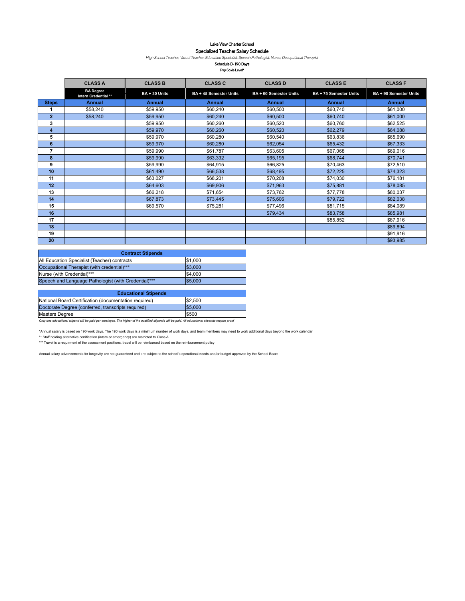Lake View Charter School

#### Specialized Teacher Salary Schedule

High School Teacher, Virtual Teacher, Education Specialist, Speech Pathologist, Nurse, Occupational Therapist

Schedule B- 190 Days Pay Scale Level\*

|                | <b>CLASS A</b>                           | <b>CLASS B</b> | <b>CLASS C</b>         | <b>CLASS D</b>         | <b>CLASS E</b>         | <b>CLASS F</b>         |
|----------------|------------------------------------------|----------------|------------------------|------------------------|------------------------|------------------------|
|                | <b>BA</b> Degree<br>Intern Credential ** | BA + 30 Units  | BA + 45 Semester Units | BA + 60 Semester Units | BA + 75 Semester Units | BA + 90 Semester Units |
| <b>Steps</b>   | <b>Annual</b>                            | <b>Annual</b>  | <b>Annual</b>          | <b>Annual</b>          | <b>Annual</b>          | <b>Annual</b>          |
|                | \$58,240                                 | \$59,950       | \$60,240               | \$60,500               | \$60,740               | \$61,000               |
| $\overline{2}$ | \$58,240                                 | \$59,950       | \$60,240               | \$60,500               | \$60,740               | \$61,000               |
| 3              |                                          | \$59,950       | \$60,260               | \$60,520               | \$60,760               | \$62,525               |
| 4              |                                          | \$59,970       | \$60,260               | \$60,520               | \$62,279               | \$64,088               |
| 5              |                                          | \$59,970       | \$60,280               | \$60,540               | \$63,836               | \$65,690               |
| 6              |                                          | \$59,970       | \$60,280               | \$62,054               | \$65,432               | \$67,333               |
| 7              |                                          | \$59,990       | \$61,787               | \$63,605               | \$67,068               | \$69,016               |
| 8              |                                          | \$59,990       | \$63,332               | \$65,195               | \$68,744               | \$70,741               |
| 9              |                                          | \$59,990       | \$64,915               | \$66,825               | \$70,463               | \$72,510               |
| 10             |                                          | \$61,490       | \$66,538               | \$68,495               | \$72,225               | \$74,323               |
| 11             |                                          | \$63.027       | \$68,201               | \$70,208               | \$74,030               | \$76,181               |
| 12             |                                          | \$64,603       | \$69,906               | \$71,963               | \$75,881               | \$78,085               |
| 13             |                                          | \$66,218       | \$71,654               | \$73,762               | \$77,778               | \$80,037               |
| 14             |                                          | \$67,873       | \$73,445               | \$75,606               | \$79,722               | \$82,038               |
| 15             |                                          | \$69,570       | \$75,281               | \$77,496               | \$81,715               | \$84,089               |
| 16             |                                          |                |                        | \$79,434               | \$83,758               | \$85,981               |
| 17             |                                          |                |                        |                        | \$85,852               | \$87,916               |
| 18             |                                          |                |                        |                        |                        | \$89,894               |
| 19             |                                          |                |                        |                        |                        | \$91,916               |
| 20             |                                          |                |                        |                        |                        | \$93,985               |

| <b>Contract Stipends</b>                             |         |  |  |  |  |  |  |  |  |
|------------------------------------------------------|---------|--|--|--|--|--|--|--|--|
| All Education Specialist (Teacher) contracts         | \$1,000 |  |  |  |  |  |  |  |  |
| Occupational Therapist (with credential)***          | \$3,000 |  |  |  |  |  |  |  |  |
| Nurse (with Credential)***                           | \$4,000 |  |  |  |  |  |  |  |  |
| Speech and Language Pathologist (with Credential)*** | \$5,000 |  |  |  |  |  |  |  |  |

| <b>Educational Stipends</b>                           |         |  |  |  |  |  |  |  |  |
|-------------------------------------------------------|---------|--|--|--|--|--|--|--|--|
| National Board Certification (documentation required) | \$2,500 |  |  |  |  |  |  |  |  |
| Doctorate Degree (conferred, transcripts required)    | \$5,000 |  |  |  |  |  |  |  |  |
| Masters Degree                                        | \$500   |  |  |  |  |  |  |  |  |

Masters Degree \$500 *Only one educational stipend will be paid per employee. The higher of the qualified stipends will be paid. All educational stipends require proof*

"Annual salary is based on 190 work days. The 190 work days is a minimum number of work days, and team members may need to work additional days beyond the work calendar<br>\*\* Staff holding alternative certification (intern o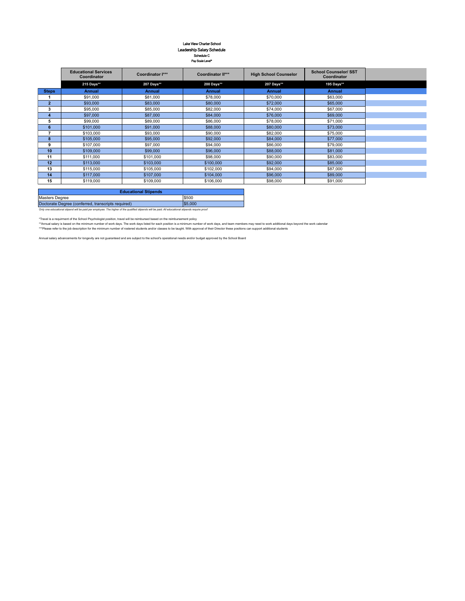# Lake View Charter School Leadership Salary Schedule Schedule C Pay Scale Level\*

|              | <b>Educational Services</b><br>Coordinator | Coordinator I*** | <b>Coordinator II***</b> | <b>High School Counselor</b> | <b>School Counselor/ SST</b><br>Coordinator |  |
|--------------|--------------------------------------------|------------------|--------------------------|------------------------------|---------------------------------------------|--|
|              | 215 Days**                                 | 207 Days**       | 200 Days**               | 207 Days**                   | 195 Days**                                  |  |
| <b>Steps</b> | <b>Annual</b>                              | <b>Annual</b>    | <b>Annual</b>            | <b>Annual</b>                | <b>Annual</b>                               |  |
|              | \$91,000                                   | \$81,000         | \$78,000                 | \$70,000                     | \$63,000                                    |  |
| $\mathbf{2}$ | \$93,000                                   | \$83,000         | \$80,000                 | \$72,000                     | \$65,000                                    |  |
| 3            | \$95,000                                   | \$85,000         | \$82,000                 | \$74,000                     | \$67,000                                    |  |
| 4            | \$97,000                                   | \$87,000         | \$84,000                 | \$76,000                     | \$69,000                                    |  |
| 5            | \$99,000                                   | \$89,000         | \$86,000                 | \$78,000                     | \$71,000                                    |  |
| 6            | \$101,000                                  | \$91,000         | \$88,000                 | \$80,000                     | \$73,000                                    |  |
|              | \$103,000                                  | \$93,000         | \$90,000                 | \$82,000                     | \$75,000                                    |  |
| 8            | \$105,000                                  | \$95,000         | \$92,000                 | \$84,000                     | \$77,000                                    |  |
| 9            | \$107,000                                  | \$97,000         | \$94,000                 | \$86,000                     | \$79,000                                    |  |
| 10           | \$109,000                                  | \$99,000         | \$96,000                 | \$88,000                     | \$81,000                                    |  |
| 11           | \$111,000                                  | \$101,000        | \$98,000                 | \$90,000                     | \$83,000                                    |  |
| 12           | \$113,000                                  | \$103,000        | \$100,000                | \$92,000                     | \$85,000                                    |  |
| 13           | \$115,000                                  | \$105,000        | \$102,000                | \$94,000                     | \$87,000                                    |  |
| 14           | \$117,000                                  | \$107,000        | \$104,000                | \$96,000                     | \$89,000                                    |  |
| 15           | \$119,000                                  | \$109,000        | \$106,000                | \$98,000                     | \$91,000                                    |  |

| <b>Educational Stipends</b>                                                                                                                       |               |  |  |  |  |  |  |  |
|---------------------------------------------------------------------------------------------------------------------------------------------------|---------------|--|--|--|--|--|--|--|
| Masters Degree                                                                                                                                    | \$500         |  |  |  |  |  |  |  |
| Doctorate Degree (conferred, transcripts required)                                                                                                | <b>S5.000</b> |  |  |  |  |  |  |  |
| Only one educational stipend will be paid per employee. The higher of the qualified stipends will be paid. All educational stipends require proof |               |  |  |  |  |  |  |  |

\*Travel is a requirment of the School Psychologist position, travel will be reimbursed based on the reimbursement policy<br>\*\*Annal salary is based on the minimum number of work down to allow the base to be based to make of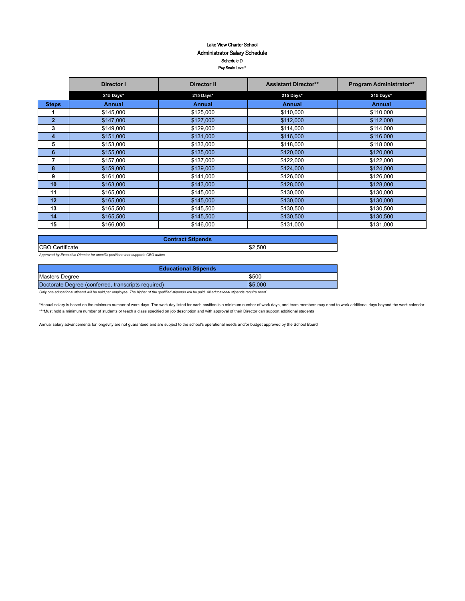#### Lake View Charter School Administrator Salary Schedule Schedule D Pay Scale Level\*

|                | Director I    | Director II   | <b>Assistant Director**</b> | <b>Program Administrator**</b> |  |
|----------------|---------------|---------------|-----------------------------|--------------------------------|--|
|                | 215 Days*     | 215 Days*     | 215 Days*                   | 215 Days*                      |  |
| <b>Steps</b>   | <b>Annual</b> | <b>Annual</b> | <b>Annual</b>               | <b>Annual</b>                  |  |
| 1              | \$145,000     | \$125,000     | \$110,000                   | \$110,000                      |  |
| $\overline{2}$ | \$147,000     | \$127,000     | \$112,000                   | \$112,000                      |  |
| 3              | \$149,000     | \$129,000     | \$114,000                   | \$114,000                      |  |
| 4              | \$151,000     | \$131,000     | \$116,000                   | \$116,000                      |  |
| 5              | \$153,000     | \$133,000     | \$118,000                   | \$118,000                      |  |
| 6              | \$155,000     | \$135,000     | \$120,000                   | \$120,000                      |  |
| 7              | \$157,000     | \$137,000     | \$122,000                   | \$122,000                      |  |
| 8              | \$159,000     | \$139,000     | \$124,000                   | \$124,000                      |  |
| 9              | \$161,000     | \$141,000     | \$126,000                   | \$126,000                      |  |
| 10             | \$163,000     | \$143,000     | \$128,000                   | \$128,000                      |  |
| 11             | \$165,000     | \$145,000     | \$130,000                   | \$130,000                      |  |
| 12             | \$165,000     | \$145,000     | \$130,000                   | \$130,000                      |  |
| 13             | \$165,500     | \$145,500     | \$130,500                   | \$130,500                      |  |
| 14             | \$165,500     | \$145,500     | \$130,500                   | \$130,500                      |  |
| 15             | \$166,000     | \$146,000     | \$131,000                   | \$131,000                      |  |

| <b>Contract Stipends</b> |         |  |  |  |  |  |
|--------------------------|---------|--|--|--|--|--|
| <b>CBO</b> Certificate   | \$2,500 |  |  |  |  |  |

*Approved by Executive Director for specific positions that supports CBO duties* 

| <b>Educational Stipends</b>                        |         |  |  |  |  |  |  |
|----------------------------------------------------|---------|--|--|--|--|--|--|
| Masters Degree                                     | \$500   |  |  |  |  |  |  |
| Doctorate Degree (conferred, transcripts required) | \$5.000 |  |  |  |  |  |  |

*Only one educational stipend will be paid per employee. The higher of the qualified stipends will be paid. All educational stipends require proof*

\*Annual salary is based on the minimum number of work days. The work day listed for each position is a minimum number of work days, and team members may need to work additional days beyond the work calendar \*\*\*Must hold a minimum number of students or teach a class specified on job description and with approval of their Director can support additional students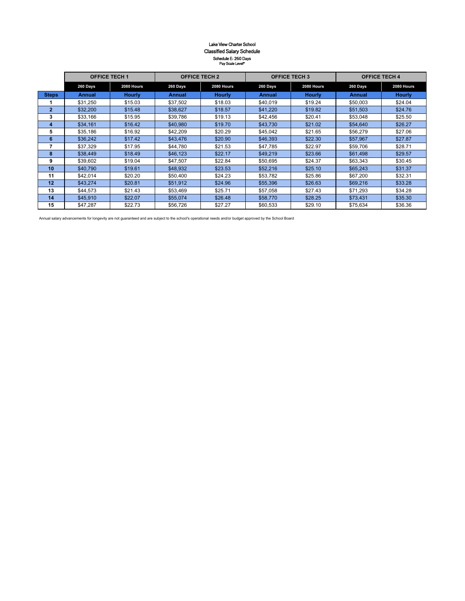#### Lake View Charter School Classified Salary Schedule Schedule E- 260 Days Pay Scale Level\*

|              | <b>OFFICE TECH 1</b> |               | <b>OFFICE TECH 2</b>   |               | <b>OFFICE TECH 3</b> |               | <b>OFFICE TECH 4</b> |               |  |
|--------------|----------------------|---------------|------------------------|---------------|----------------------|---------------|----------------------|---------------|--|
|              | 260 Days             | 2080 Hours    | 260 Days<br>2080 Hours |               | 260 Days             | 2080 Hours    | 260 Days             | 2080 Hours    |  |
| <b>Steps</b> | <b>Annual</b>        | <b>Hourly</b> | <b>Annual</b>          | <b>Hourly</b> | <b>Annual</b>        | <b>Hourly</b> | <b>Annual</b>        | <b>Hourly</b> |  |
|              | \$31,250             | \$15.03       | \$37,502               | \$18.03       | \$40.019             | \$19.24       | \$50,003             | \$24.04       |  |
| 2            | \$32,200             | \$15.48       | \$38,627               | \$18.57       | \$41,220             | \$19.82       | \$51,503             | \$24.76       |  |
| 3            | \$33,166             | \$15.95       | \$39,786               | \$19.13       | \$42.456             | \$20.41       | \$53,048             | \$25.50       |  |
| 4            | \$34,161             | \$16.42       | \$40.980               | \$19.70       | \$43,730             | \$21.02       | \$54,640             | \$26.27       |  |
| 5            | \$35,186             | \$16.92       | \$42,209               | \$20.29       | \$45.042             | \$21.65       | \$56,279             | \$27.06       |  |
| 6            | \$36,242             | \$17.42       | \$43,476               | \$20.90       | \$46,393             | \$22.30       | \$57,967             | \$27.87       |  |
|              | \$37,329             | \$17.95       | \$44.780               | \$21.53       | \$47,785             | \$22.97       | \$59,706             | \$28.71       |  |
| 8            | \$38,449             | \$18.49       | \$46,123               | \$22.17       | \$49,219             | \$23.66       | \$61,498             | \$29.57       |  |
| 9            | \$39,602             | \$19.04       | \$47.507               | \$22.84       | \$50.695             | \$24.37       | \$63,343             | \$30.45       |  |
| 10           | \$40,790             | \$19.61       | \$48,932               | \$23.53       | \$52,216             | \$25.10       | \$65,243             | \$31.37       |  |
| 11           | \$42,014             | \$20.20       | \$50.400               | \$24.23       | \$53,782             | \$25.86       | \$67,200             | \$32.31       |  |
| 12           | \$43.274             | \$20.81       | \$51.912               | \$24.96       | \$55,396             | \$26.63       | \$69,216             | \$33.28       |  |
| 13           | \$44,573             | \$21.43       | \$53.469               | \$25.71       | \$57.058             | \$27.43       | \$71.293             | \$34.28       |  |
| 14           | \$45,910             | \$22.07       | \$55,074               | \$26.48       | \$58,770             | \$28.25       | \$73,431             | \$35.30       |  |
| 15           | \$47.287             | \$22.73       | \$56,726               | \$27.27       | \$60.533             | \$29.10       | \$75.634             | \$36.36       |  |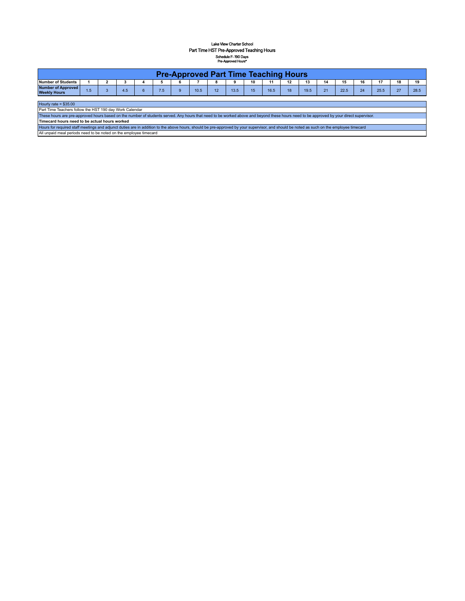#### Lake View Charter School Part Time HST Pre-Approved Teaching Hours Schedule F- 190 Days Pre-Approved Hours\*

| <b>Pre-Approved Part Time Teaching Hours</b>                         |      |  |     |  |       |  |      |    |      |    |      |    |          |              |      |    |                |    |      |
|----------------------------------------------------------------------|------|--|-----|--|-------|--|------|----|------|----|------|----|----------|--------------|------|----|----------------|----|------|
| Number of Students                                                   |      |  |     |  |       |  |      | 8  | ີ    | 10 | 44   | 12 | 12<br>10 | 14           |      | 16 | $\overline{a}$ | 18 | 19   |
| Number of Approved<br><b>Weekly Hours</b>                            | ن. ا |  | 4.5 |  | . . J |  | 10.5 | 12 | 13.5 |    | 16.5 | 18 | 19.5     | 24<br>$\sim$ | 22.5 | 24 | 25.5           | 27 | 28.5 |
| the company of the company of the<br>the contract of the contract of |      |  |     |  |       |  |      |    |      |    |      |    |          |              |      |    |                |    |      |

Hourly rate = \$35.00

Part Time Teachers follow the HST 190 day Work Calendar<br>These hours are pre-approved hours based on the number of students served. Any hours that need to be worked above and beyond these hours need to be approved by your d

Timecard hours need to be actual hours worked<br>Hours for required staff meetings and adjunct duties are in addition to the above hours, should be pre-approved by your supervisor, and should be noted as such on the employee